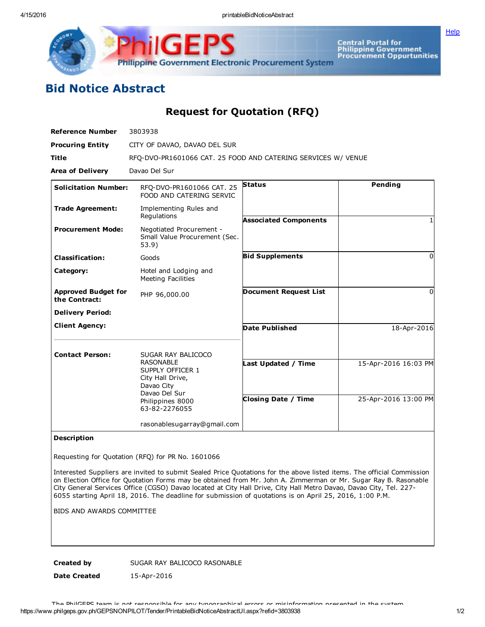4/15/2016 printableBidNoticeAbstract

**[Help](javascript:void(window.open()** 



Central Portal for<br>Philippine Government<br>Procurement Oppurtunities

## Bid Notice Abstract

Request for Quotation (RFQ)

| <b>Reference Number</b>                     | 3803938                                                                                 |                              |                      |
|---------------------------------------------|-----------------------------------------------------------------------------------------|------------------------------|----------------------|
| <b>Procuring Entity</b>                     | CITY OF DAVAO, DAVAO DEL SUR                                                            |                              |                      |
| <b>Title</b>                                | RFQ-DVO-PR1601066 CAT. 25 FOOD AND CATERING SERVICES W/ VENUE                           |                              |                      |
| <b>Area of Delivery</b>                     | Davao Del Sur                                                                           |                              |                      |
| <b>Solicitation Number:</b>                 | RFO-DVO-PR1601066 CAT. 25<br>FOOD AND CATERING SERVIC                                   | <b>Status</b>                | Pending              |
| <b>Trade Agreement:</b>                     | Implementing Rules and<br>Regulations                                                   | <b>Associated Components</b> |                      |
| <b>Procurement Mode:</b>                    | Negotiated Procurement -<br>Small Value Procurement (Sec.<br>53.9)                      |                              |                      |
| <b>Classification:</b>                      | Goods                                                                                   | <b>Bid Supplements</b>       | $\Omega$             |
| Category:                                   | Hotel and Lodging and<br><b>Meeting Facilities</b>                                      |                              |                      |
| <b>Approved Budget for</b><br>the Contract: | PHP 96,000.00                                                                           | <b>Document Request List</b> | 0                    |
| <b>Delivery Period:</b>                     |                                                                                         |                              |                      |
| <b>Client Agency:</b>                       |                                                                                         | <b>Date Published</b>        | 18-Apr-2016          |
| <b>Contact Person:</b>                      | SUGAR RAY BALICOCO                                                                      |                              |                      |
|                                             | <b>RASONABLE</b><br>SUPPLY OFFICER 1<br>City Hall Drive,<br>Davao City<br>Davao Del Sur | Last Updated / Time          | 15-Apr-2016 16:03 PM |
|                                             | Philippines 8000<br>63-82-2276055                                                       | <b>Closing Date / Time</b>   | 25-Apr-2016 13:00 PM |
|                                             | rasonablesugarray@gmail.com                                                             |                              |                      |

## Description

Requesting for Quotation (RFQ) for PR No. 1601066

Interested Suppliers are invited to submit Sealed Price Quotations for the above listed items. The official Commission on Election Office for Quotation Forms may be obtained from Mr. John A. Zimmerman or Mr. Sugar Ray B. Rasonable City General Services Office (CGSO) Davao located at City Hall Drive, City Hall Metro Davao, Davao City, Tel. 227 6055 starting April 18, 2016. The deadline for submission of quotations is on April 25, 2016, 1:00 P.M.

BIDS AND AWARDS COMMITTEE

Created by SUGAR RAY BALICOCO RASONABLE

Date Created 15-Apr-2016